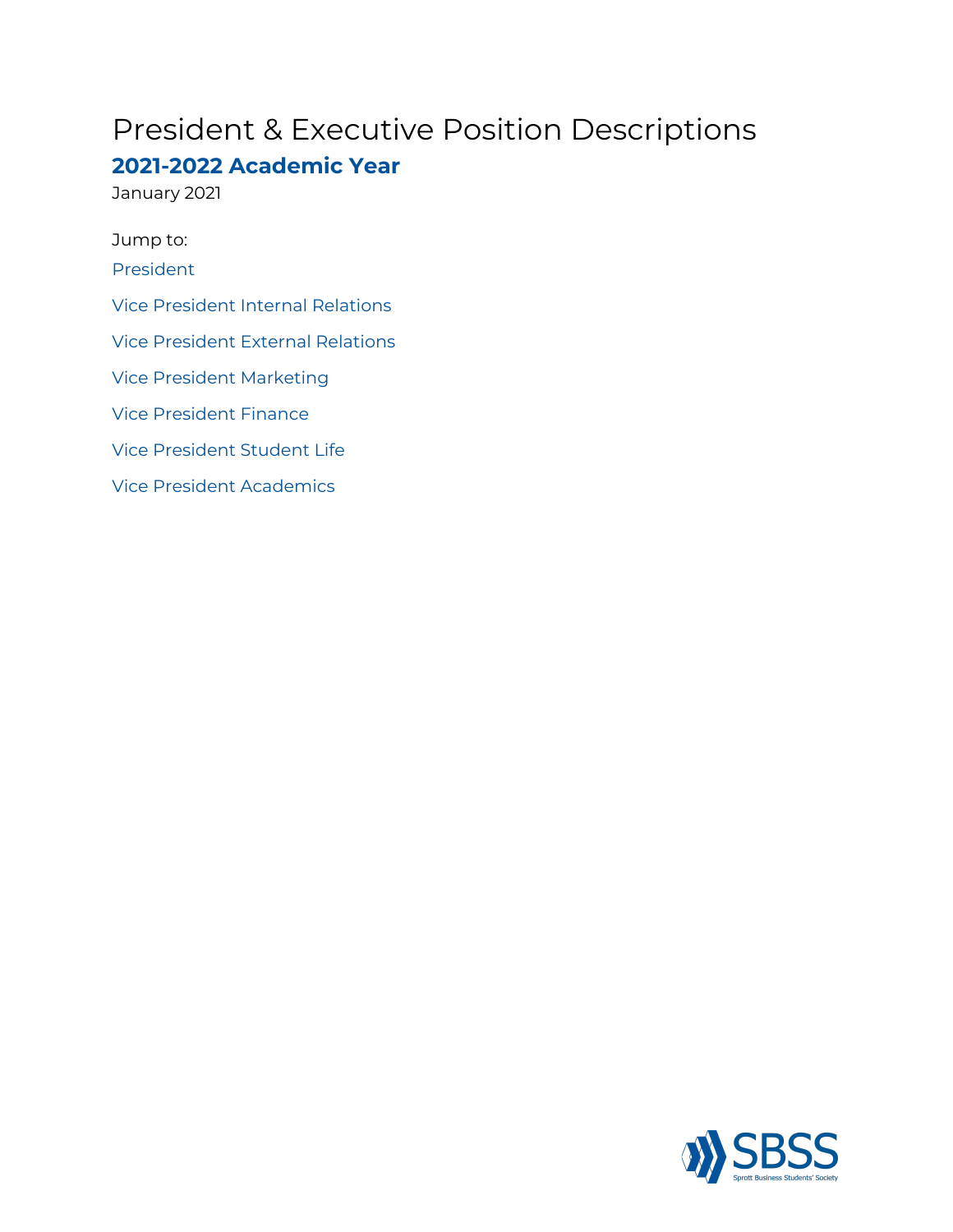# President & Executive Position Descriptions

# **2021-2022 Academic Year**

January 2021

Jump to: [President](#page-1-0) Vice [President](#page-2-0) Internal Relations Vice [President](#page-3-0) External Relations Vice President [Marketing](#page-4-0) Vice [President](#page-5-0) Finance Vice [President](#page-6-0) Student Life Vice President [Academics](#page-7-0)

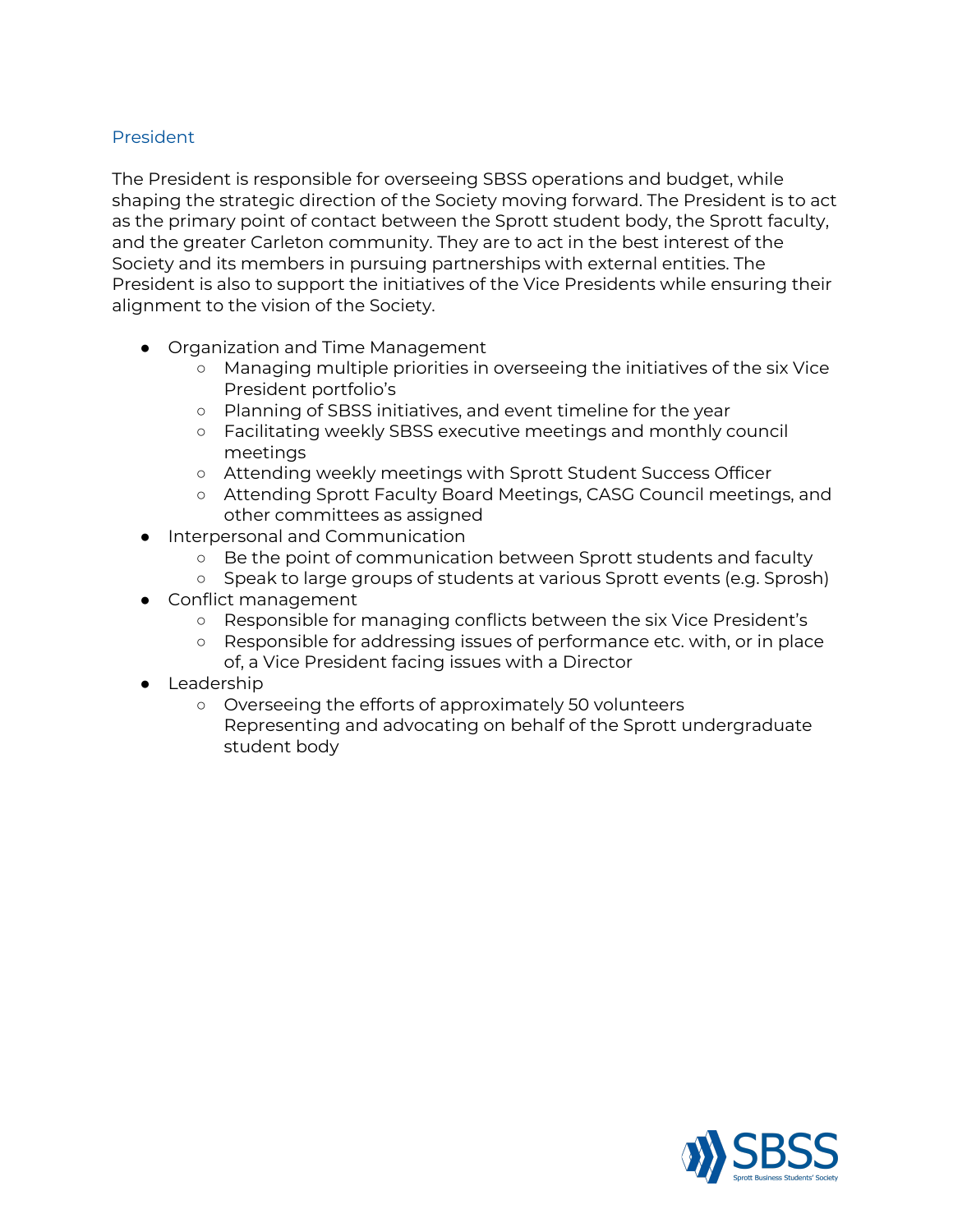# <span id="page-1-0"></span>President

The President is responsible for overseeing SBSS operations and budget, while shaping the strategic direction of the Society moving forward. The President is to act as the primary point of contact between the Sprott student body, the Sprott faculty, and the greater Carleton community. They are to act in the best interest of the Society and its members in pursuing partnerships with external entities. The President is also to support the initiatives of the Vice Presidents while ensuring their alignment to the vision of the Society.

- Organization and Time Management
	- Managing multiple priorities in overseeing the initiatives of the six Vice President portfolio's
	- Planning of SBSS initiatives, and event timeline for the year
	- Facilitating weekly SBSS executive meetings and monthly council meetings
	- Attending weekly meetings with Sprott Student Success Officer
	- Attending Sprott Faculty Board Meetings, CASG Council meetings, and other committees as assigned
- Interpersonal and Communication
	- Be the point of communication between Sprott students and faculty
	- Speak to large groups of students at various Sprott events (e.g. Sprosh)
- Conflict management
	- Responsible for managing conflicts between the six Vice President's
	- Responsible for addressing issues of performance etc. with, or in place of, a Vice President facing issues with a Director
- Leadership
	- Overseeing the efforts of approximately 50 volunteers Representing and advocating on behalf of the Sprott undergraduate student body

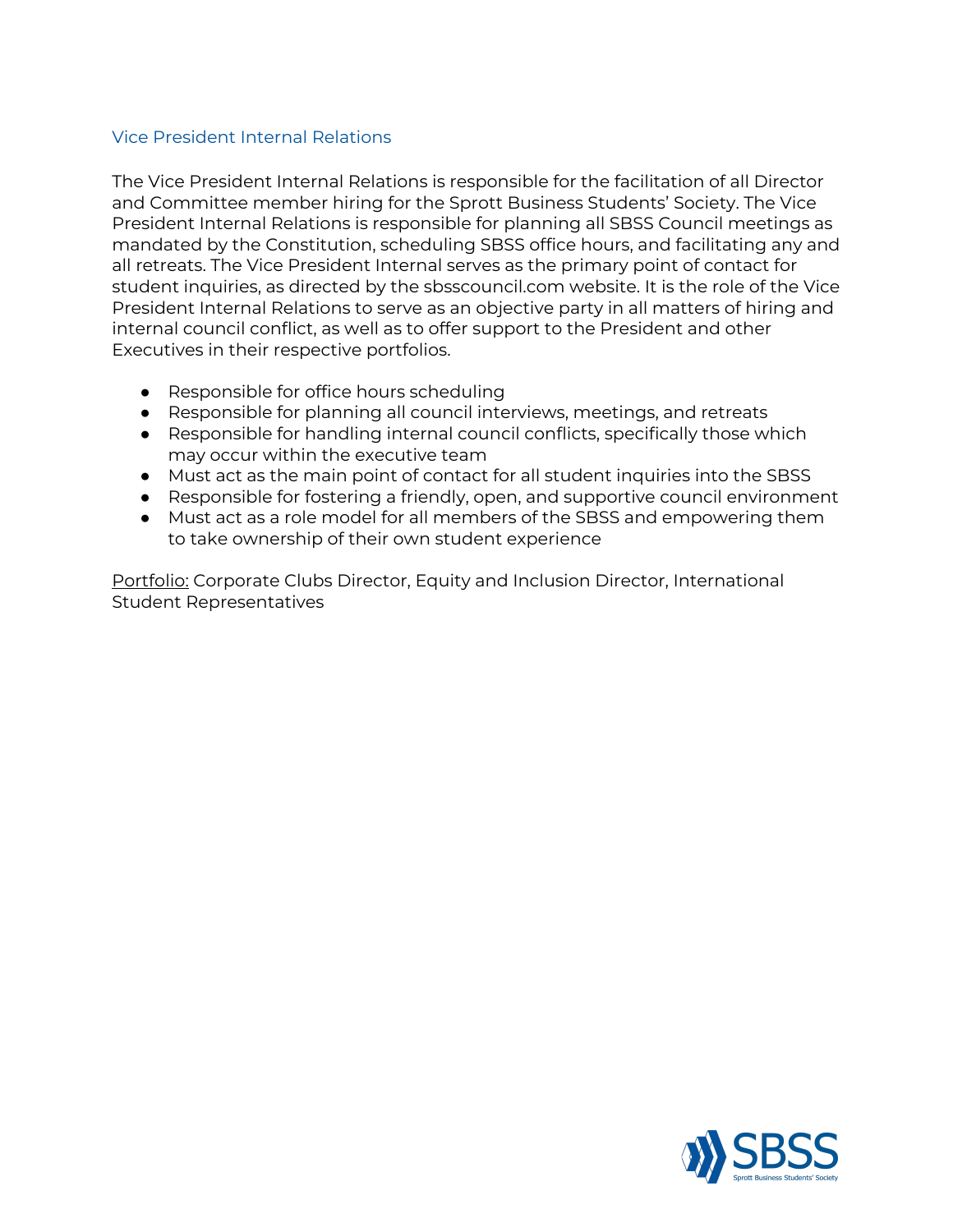#### <span id="page-2-0"></span>Vice President Internal Relations

The Vice President Internal Relations is responsible for the facilitation of all Director and Committee member hiring for the Sprott Business Students' Society. The Vice President Internal Relations is responsible for planning all SBSS Council meetings as mandated by the Constitution, scheduling SBSS office hours, and facilitating any and all retreats. The Vice President Internal serves as the primary point of contact for student inquiries, as directed by the sbsscouncil.com website. It is the role of the Vice President Internal Relations to serve as an objective party in all matters of hiring and internal council conflict, as well as to offer support to the President and other Executives in their respective portfolios.

- Responsible for office hours scheduling
- Responsible for planning all council interviews, meetings, and retreats
- Responsible for handling internal council conflicts, specifically those which may occur within the executive team
- Must act as the main point of contact for all student inquiries into the SBSS
- Responsible for fostering a friendly, open, and supportive council environment
- Must act as a role model for all members of the SBSS and empowering them to take ownership of their own student experience

Portfolio: Corporate Clubs Director, Equity and Inclusion Director, International Student Representatives

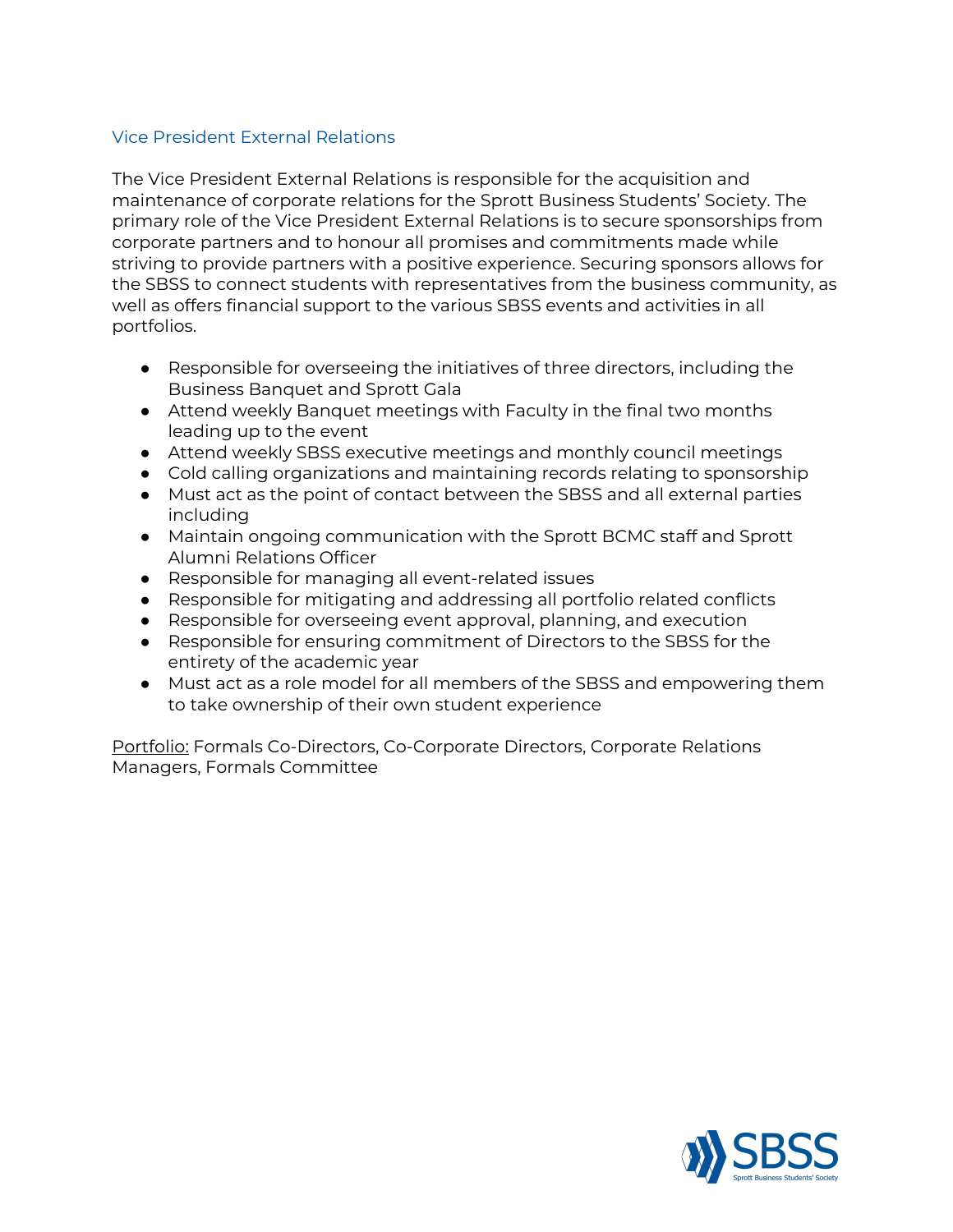# <span id="page-3-0"></span>Vice President External Relations

The Vice President External Relations is responsible for the acquisition and maintenance of corporate relations for the Sprott Business Students' Society. The primary role of the Vice President External Relations is to secure sponsorships from corporate partners and to honour all promises and commitments made while striving to provide partners with a positive experience. Securing sponsors allows for the SBSS to connect students with representatives from the business community, as well as offers financial support to the various SBSS events and activities in all portfolios.

- Responsible for overseeing the initiatives of three directors, including the Business Banquet and Sprott Gala
- Attend weekly Banquet meetings with Faculty in the final two months leading up to the event
- Attend weekly SBSS executive meetings and monthly council meetings
- Cold calling organizations and maintaining records relating to sponsorship
- Must act as the point of contact between the SBSS and all external parties including
- Maintain ongoing communication with the Sprott BCMC staff and Sprott Alumni Relations Officer
- Responsible for managing all event-related issues
- Responsible for mitigating and addressing all portfolio related conflicts
- Responsible for overseeing event approval, planning, and execution
- Responsible for ensuring commitment of Directors to the SBSS for the entirety of the academic year
- Must act as a role model for all members of the SBSS and empowering them to take ownership of their own student experience

Portfolio: Formals Co-Directors, Co-Corporate Directors, Corporate Relations Managers, Formals Committee

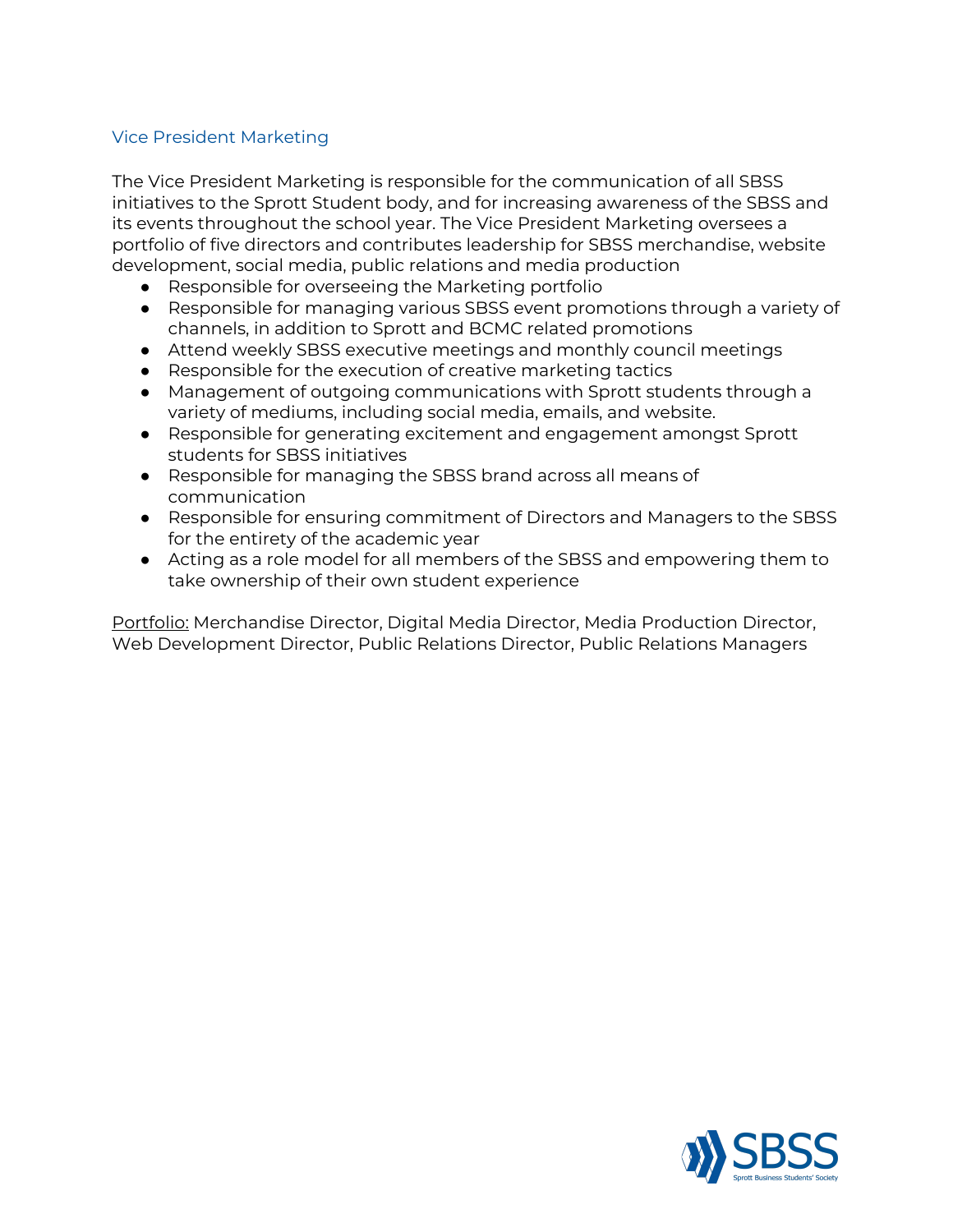#### <span id="page-4-0"></span>Vice President Marketing

The Vice President Marketing is responsible for the communication of all SBSS initiatives to the Sprott Student body, and for increasing awareness of the SBSS and its events throughout the school year. The Vice President Marketing oversees a portfolio of five directors and contributes leadership for SBSS merchandise, website development, social media, public relations and media production

- Responsible for overseeing the Marketing portfolio
- Responsible for managing various SBSS event promotions through a variety of channels, in addition to Sprott and BCMC related promotions
- Attend weekly SBSS executive meetings and monthly council meetings
- Responsible for the execution of creative marketing tactics
- Management of outgoing communications with Sprott students through a variety of mediums, including social media, emails, and website.
- Responsible for generating excitement and engagement amongst Sprott students for SBSS initiatives
- Responsible for managing the SBSS brand across all means of communication
- Responsible for ensuring commitment of Directors and Managers to the SBSS for the entirety of the academic year
- Acting as a role model for all members of the SBSS and empowering them to take ownership of their own student experience

Portfolio: Merchandise Director, Digital Media Director, Media Production Director, Web Development Director, Public Relations Director, Public Relations Managers

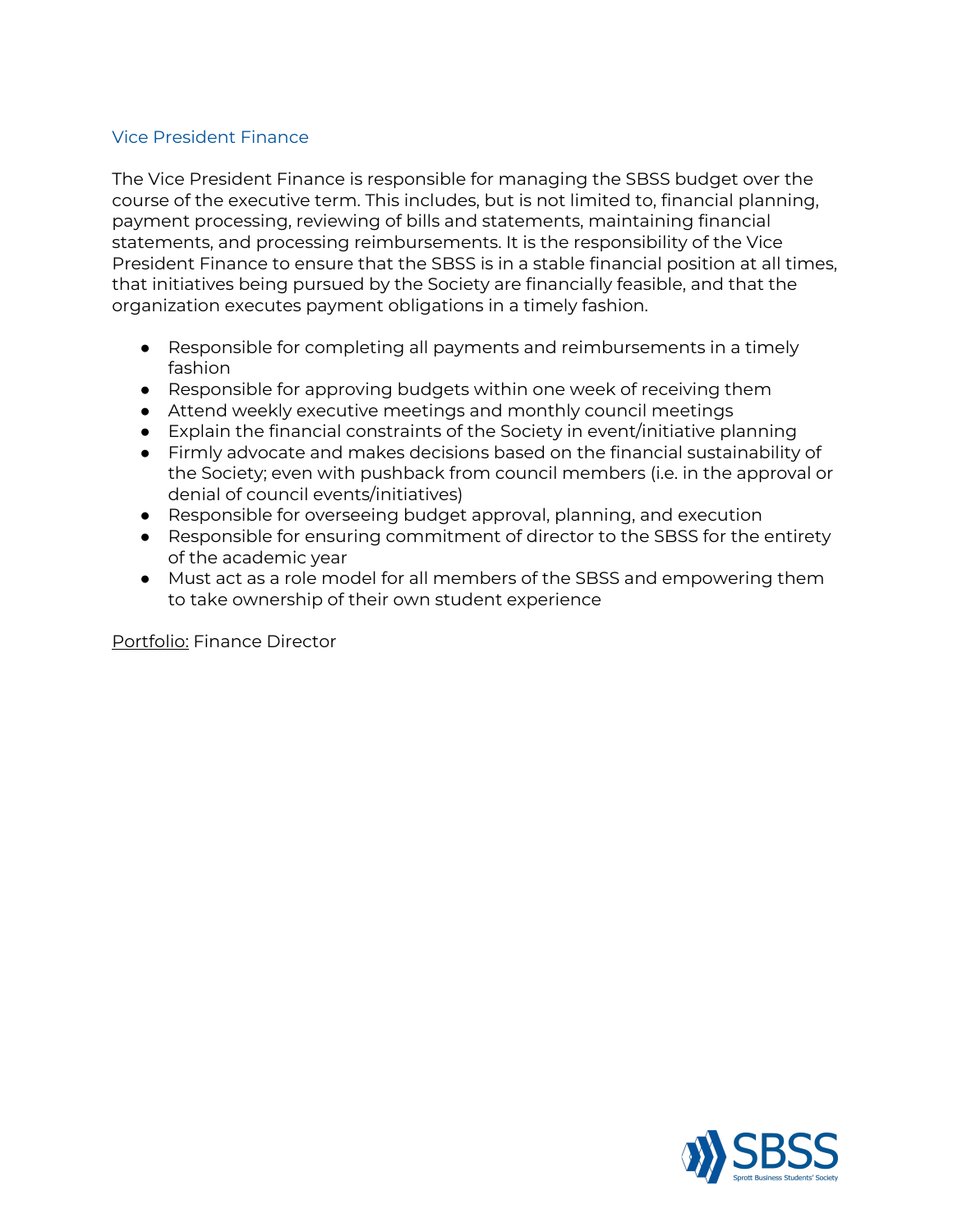# <span id="page-5-0"></span>Vice President Finance

The Vice President Finance is responsible for managing the SBSS budget over the course of the executive term. This includes, but is not limited to, financial planning, payment processing, reviewing of bills and statements, maintaining financial statements, and processing reimbursements. It is the responsibility of the Vice President Finance to ensure that the SBSS is in a stable financial position at all times, that initiatives being pursued by the Society are financially feasible, and that the organization executes payment obligations in a timely fashion.

- Responsible for completing all payments and reimbursements in a timely fashion
- Responsible for approving budgets within one week of receiving them
- Attend weekly executive meetings and monthly council meetings
- Explain the financial constraints of the Society in event/initiative planning
- Firmly advocate and makes decisions based on the financial sustainability of the Society; even with pushback from council members (i.e. in the approval or denial of council events/initiatives)
- Responsible for overseeing budget approval, planning, and execution
- Responsible for ensuring commitment of director to the SBSS for the entirety of the academic year
- Must act as a role model for all members of the SBSS and empowering them to take ownership of their own student experience

Portfolio: Finance Director

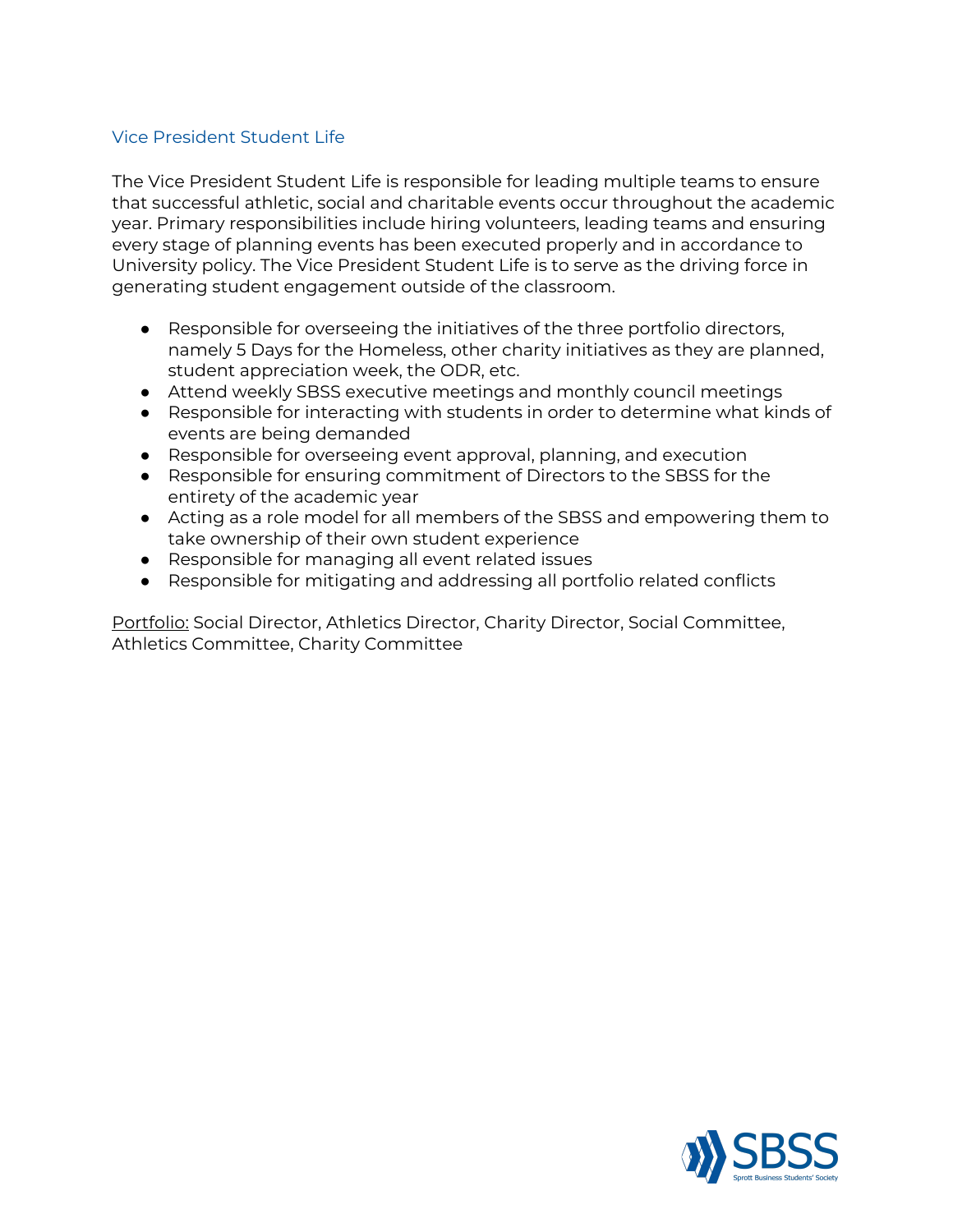#### <span id="page-6-0"></span>Vice President Student Life

The Vice President Student Life is responsible for leading multiple teams to ensure that successful athletic, social and charitable events occur throughout the academic year. Primary responsibilities include hiring volunteers, leading teams and ensuring every stage of planning events has been executed properly and in accordance to University policy. The Vice President Student Life is to serve as the driving force in generating student engagement outside of the classroom.

- Responsible for overseeing the initiatives of the three portfolio directors, namely 5 Days for the Homeless, other charity initiatives as they are planned, student appreciation week, the ODR, etc.
- Attend weekly SBSS executive meetings and monthly council meetings
- Responsible for interacting with students in order to determine what kinds of events are being demanded
- Responsible for overseeing event approval, planning, and execution
- Responsible for ensuring commitment of Directors to the SBSS for the entirety of the academic year
- Acting as a role model for all members of the SBSS and empowering them to take ownership of their own student experience
- Responsible for managing all event related issues
- Responsible for mitigating and addressing all portfolio related conflicts

Portfolio: Social Director, Athletics Director, Charity Director, Social Committee, Athletics Committee, Charity Committee